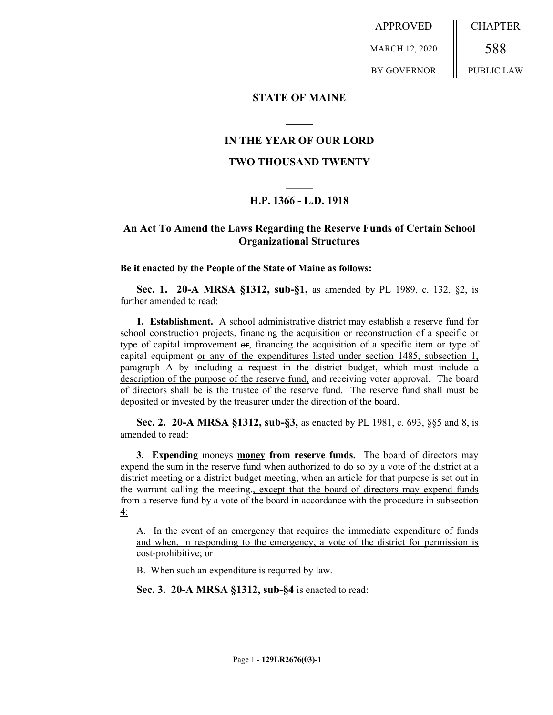APPROVED MARCH 12, 2020 BY GOVERNOR CHAPTER 588 PUBLIC LAW

### **STATE OF MAINE**

## **IN THE YEAR OF OUR LORD**

**\_\_\_\_\_**

### **TWO THOUSAND TWENTY**

# **\_\_\_\_\_ H.P. 1366 - L.D. 1918**

## **An Act To Amend the Laws Regarding the Reserve Funds of Certain School Organizational Structures**

#### **Be it enacted by the People of the State of Maine as follows:**

**Sec. 1. 20-A MRSA §1312, sub-§1,** as amended by PL 1989, c. 132, §2, is further amended to read:

**1. Establishment.** A school administrative district may establish a reserve fund for school construction projects, financing the acquisition or reconstruction of a specific or type of capital improvement or, financing the acquisition of a specific item or type of capital equipment or any of the expenditures listed under section 1485, subsection 1, paragraph A by including a request in the district budget, which must include a description of the purpose of the reserve fund, and receiving voter approval. The board of directors shall be is the trustee of the reserve fund. The reserve fund shall must be deposited or invested by the treasurer under the direction of the board.

**Sec. 2. 20-A MRSA §1312, sub-§3,** as enacted by PL 1981, c. 693, §§5 and 8, is amended to read:

**3. Expending moneys money from reserve funds.** The board of directors may expend the sum in the reserve fund when authorized to do so by a vote of the district at a district meeting or a district budget meeting, when an article for that purpose is set out in the warrant calling the meeting., except that the board of directors may expend funds from a reserve fund by a vote of the board in accordance with the procedure in subsection 4:

A. In the event of an emergency that requires the immediate expenditure of funds and when, in responding to the emergency, a vote of the district for permission is cost-prohibitive; or

B. When such an expenditure is required by law.

**Sec. 3. 20-A MRSA §1312, sub-§4** is enacted to read: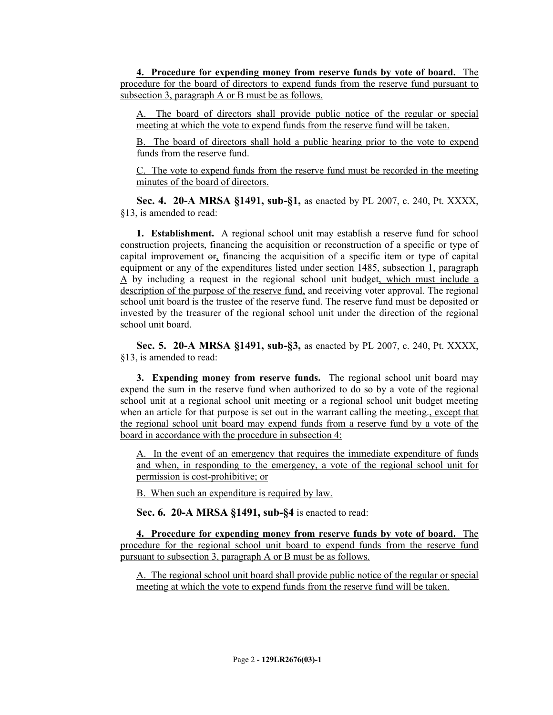**4. Procedure for expending money from reserve funds by vote of board.** The procedure for the board of directors to expend funds from the reserve fund pursuant to subsection 3, paragraph A or B must be as follows.

A. The board of directors shall provide public notice of the regular or special meeting at which the vote to expend funds from the reserve fund will be taken.

B. The board of directors shall hold a public hearing prior to the vote to expend funds from the reserve fund.

C. The vote to expend funds from the reserve fund must be recorded in the meeting minutes of the board of directors.

**Sec. 4. 20-A MRSA §1491, sub-§1,** as enacted by PL 2007, c. 240, Pt. XXXX, §13, is amended to read:

**1. Establishment.** A regional school unit may establish a reserve fund for school construction projects, financing the acquisition or reconstruction of a specific or type of capital improvement or, financing the acquisition of a specific item or type of capital equipment or any of the expenditures listed under section 1485, subsection 1, paragraph A by including a request in the regional school unit budget, which must include a description of the purpose of the reserve fund, and receiving voter approval. The regional school unit board is the trustee of the reserve fund. The reserve fund must be deposited or invested by the treasurer of the regional school unit under the direction of the regional school unit board.

**Sec. 5. 20-A MRSA §1491, sub-§3,** as enacted by PL 2007, c. 240, Pt. XXXX, §13, is amended to read:

**3. Expending money from reserve funds.** The regional school unit board may expend the sum in the reserve fund when authorized to do so by a vote of the regional school unit at a regional school unit meeting or a regional school unit budget meeting when an article for that purpose is set out in the warrant calling the meeting., except that the regional school unit board may expend funds from a reserve fund by a vote of the board in accordance with the procedure in subsection 4:

A. In the event of an emergency that requires the immediate expenditure of funds and when, in responding to the emergency, a vote of the regional school unit for permission is cost-prohibitive; or

B. When such an expenditure is required by law.

**Sec. 6. 20-A MRSA §1491, sub-§4** is enacted to read:

**4. Procedure for expending money from reserve funds by vote of board.** The procedure for the regional school unit board to expend funds from the reserve fund pursuant to subsection 3, paragraph A or B must be as follows.

A. The regional school unit board shall provide public notice of the regular or special meeting at which the vote to expend funds from the reserve fund will be taken.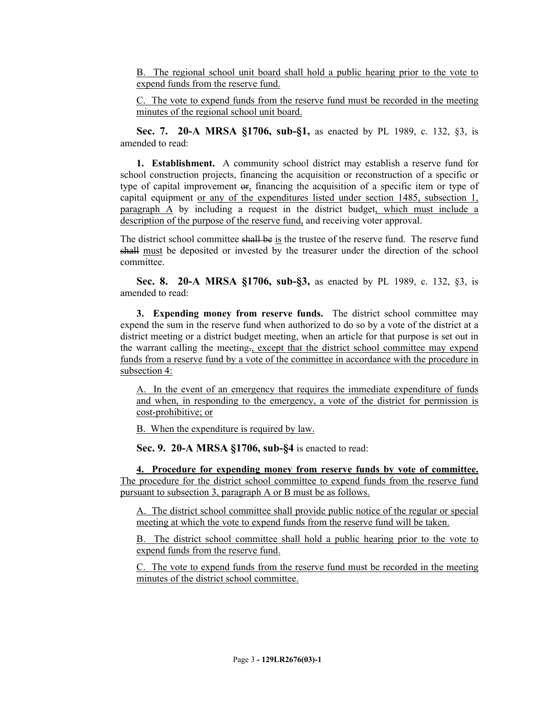B. The regional school unit board shall hold a public hearing prior to the vote to expend funds from the reserve fund.

C. The vote to expend funds from the reserve fund must be recorded in the meeting minutes of the regional school unit board.

**Sec. 7. 20-A MRSA §1706, sub-§1,** as enacted by PL 1989, c. 132, §3, is amended to read:

**1. Establishment.** A community school district may establish a reserve fund for school construction projects, financing the acquisition or reconstruction of a specific or type of capital improvement  $\Theta$ <sub>r</sub>, financing the acquisition of a specific item or type of capital equipment or any of the expenditures listed under section 1485, subsection 1, paragraph A by including a request in the district budget, which must include a description of the purpose of the reserve fund, and receiving voter approval.

The district school committee shall be is the trustee of the reserve fund. The reserve fund shall must be deposited or invested by the treasurer under the direction of the school committee.

**Sec. 8. 20-A MRSA §1706, sub-§3,** as enacted by PL 1989, c. 132, §3, is amended to read:

**3. Expending money from reserve funds.** The district school committee may expend the sum in the reserve fund when authorized to do so by a vote of the district at a district meeting or a district budget meeting, when an article for that purpose is set out in the warrant calling the meeting., except that the district school committee may expend funds from a reserve fund by a vote of the committee in accordance with the procedure in subsection 4:

A. In the event of an emergency that requires the immediate expenditure of funds and when, in responding to the emergency, a vote of the district for permission is cost-prohibitive; or

B. When the expenditure is required by law.

**Sec. 9. 20-A MRSA §1706, sub-§4** is enacted to read:

**4. Procedure for expending money from reserve funds by vote of committee.**  The procedure for the district school committee to expend funds from the reserve fund pursuant to subsection 3, paragraph A or B must be as follows.

A. The district school committee shall provide public notice of the regular or special meeting at which the vote to expend funds from the reserve fund will be taken.

B. The district school committee shall hold a public hearing prior to the vote to expend funds from the reserve fund.

C. The vote to expend funds from the reserve fund must be recorded in the meeting minutes of the district school committee.